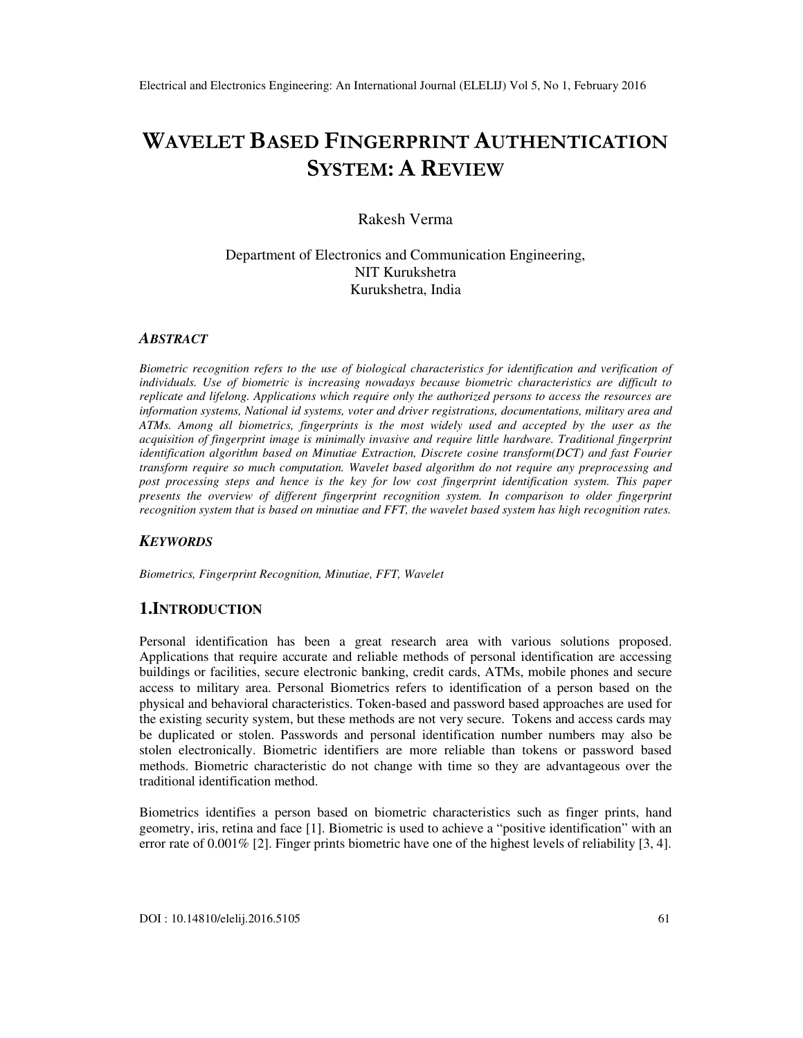# **WAVELET BASED FINGERPRINT AUTHENTICATION SYSTEM: A REVIEW**

# Rakesh Verma

Department of Electronics and Communication Engineering, NIT Kurukshetra Kurukshetra, India

#### *ABSTRACT*

*Biometric recognition refers to the use of biological characteristics for identification and verification of individuals. Use of biometric is increasing nowadays because biometric characteristics are difficult to replicate and lifelong. Applications which require only the authorized persons to access the resources are information systems, National id systems, voter and driver registrations, documentations, military area and ATMs. Among all biometrics, fingerprints is the most widely used and accepted by the user as the acquisition of fingerprint image is minimally invasive and require little hardware. Traditional fingerprint identification algorithm based on Minutiae Extraction, Discrete cosine transform(DCT) and fast Fourier transform require so much computation. Wavelet based algorithm do not require any preprocessing and post processing steps and hence is the key for low cost fingerprint identification system. This paper presents the overview of different fingerprint recognition system. In comparison to older fingerprint recognition system that is based on minutiae and FFT, the wavelet based system has high recognition rates.* 

#### *KEYWORDS*

*Biometrics, Fingerprint Recognition, Minutiae, FFT, Wavelet* 

## **1.INTRODUCTION**

Personal identification has been a great research area with various solutions proposed. Applications that require accurate and reliable methods of personal identification are accessing buildings or facilities, secure electronic banking, credit cards, ATMs, mobile phones and secure access to military area. Personal Biometrics refers to identification of a person based on the physical and behavioral characteristics. Token-based and password based approaches are used for the existing security system, but these methods are not very secure. Tokens and access cards may be duplicated or stolen. Passwords and personal identification number numbers may also be stolen electronically. Biometric identifiers are more reliable than tokens or password based methods. Biometric characteristic do not change with time so they are advantageous over the traditional identification method.

Biometrics identifies a person based on biometric characteristics such as finger prints, hand geometry, iris, retina and face [1]. Biometric is used to achieve a "positive identification" with an error rate of 0.001% [2]. Finger prints biometric have one of the highest levels of reliability [3, 4].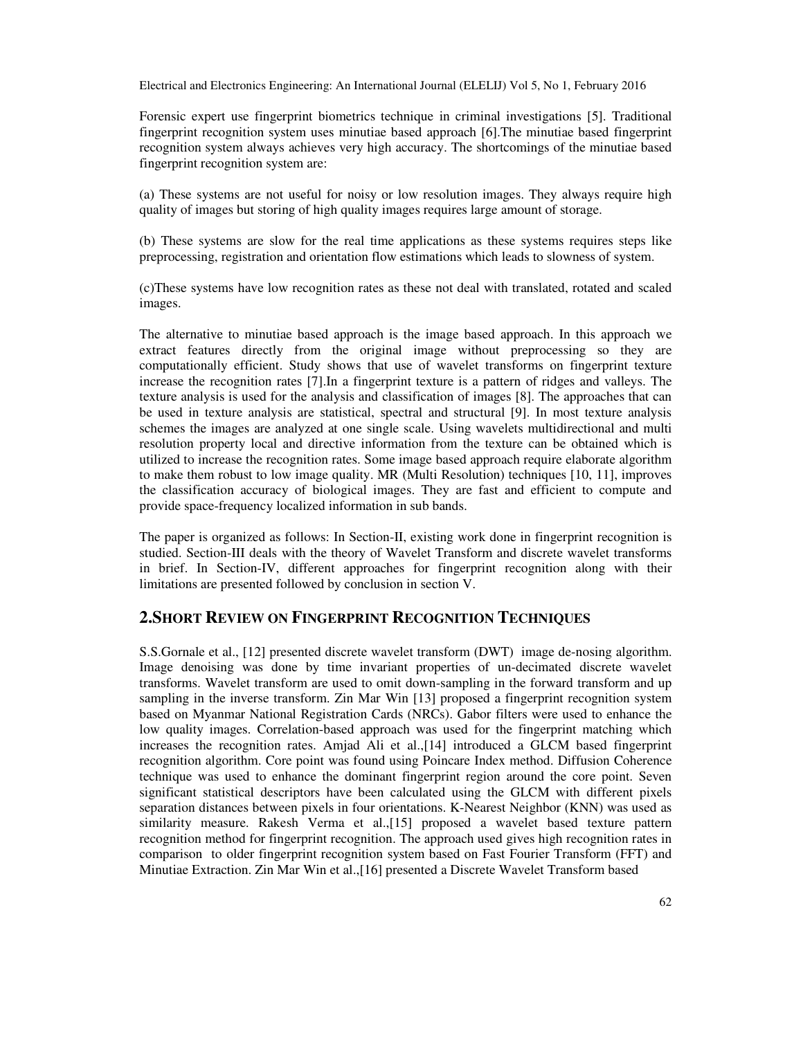Forensic expert use fingerprint biometrics technique in criminal investigations [5]. Traditional fingerprint recognition system uses minutiae based approach [6].The minutiae based fingerprint recognition system always achieves very high accuracy. The shortcomings of the minutiae based fingerprint recognition system are:

(a) These systems are not useful for noisy or low resolution images. They always require high quality of images but storing of high quality images requires large amount of storage.

(b) These systems are slow for the real time applications as these systems requires steps like preprocessing, registration and orientation flow estimations which leads to slowness of system.

(c)These systems have low recognition rates as these not deal with translated, rotated and scaled images.

The alternative to minutiae based approach is the image based approach. In this approach we extract features directly from the original image without preprocessing so they are computationally efficient. Study shows that use of wavelet transforms on fingerprint texture increase the recognition rates [7].In a fingerprint texture is a pattern of ridges and valleys. The texture analysis is used for the analysis and classification of images [8]. The approaches that can be used in texture analysis are statistical, spectral and structural [9]. In most texture analysis schemes the images are analyzed at one single scale. Using wavelets multidirectional and multi resolution property local and directive information from the texture can be obtained which is utilized to increase the recognition rates. Some image based approach require elaborate algorithm to make them robust to low image quality. MR (Multi Resolution) techniques [10, 11], improves the classification accuracy of biological images. They are fast and efficient to compute and provide space-frequency localized information in sub bands.

The paper is organized as follows: In Section-II, existing work done in fingerprint recognition is studied. Section-III deals with the theory of Wavelet Transform and discrete wavelet transforms in brief. In Section-IV, different approaches for fingerprint recognition along with their limitations are presented followed by conclusion in section V.

## **2.SHORT REVIEW ON FINGERPRINT RECOGNITION TECHNIQUES**

S.S.Gornale et al., [12] presented discrete wavelet transform (DWT) image de-nosing algorithm. Image denoising was done by time invariant properties of un-decimated discrete wavelet transforms. Wavelet transform are used to omit down-sampling in the forward transform and up sampling in the inverse transform. Zin Mar Win [13] proposed a fingerprint recognition system based on Myanmar National Registration Cards (NRCs). Gabor filters were used to enhance the low quality images. Correlation-based approach was used for the fingerprint matching which increases the recognition rates. Amjad Ali et al.,[14] introduced a GLCM based fingerprint recognition algorithm. Core point was found using Poincare Index method. Diffusion Coherence technique was used to enhance the dominant fingerprint region around the core point. Seven significant statistical descriptors have been calculated using the GLCM with different pixels separation distances between pixels in four orientations. K-Nearest Neighbor (KNN) was used as similarity measure. Rakesh Verma et al.,[15] proposed a wavelet based texture pattern recognition method for fingerprint recognition. The approach used gives high recognition rates in comparison to older fingerprint recognition system based on Fast Fourier Transform (FFT) and Minutiae Extraction. Zin Mar Win et al.,[16] presented a Discrete Wavelet Transform based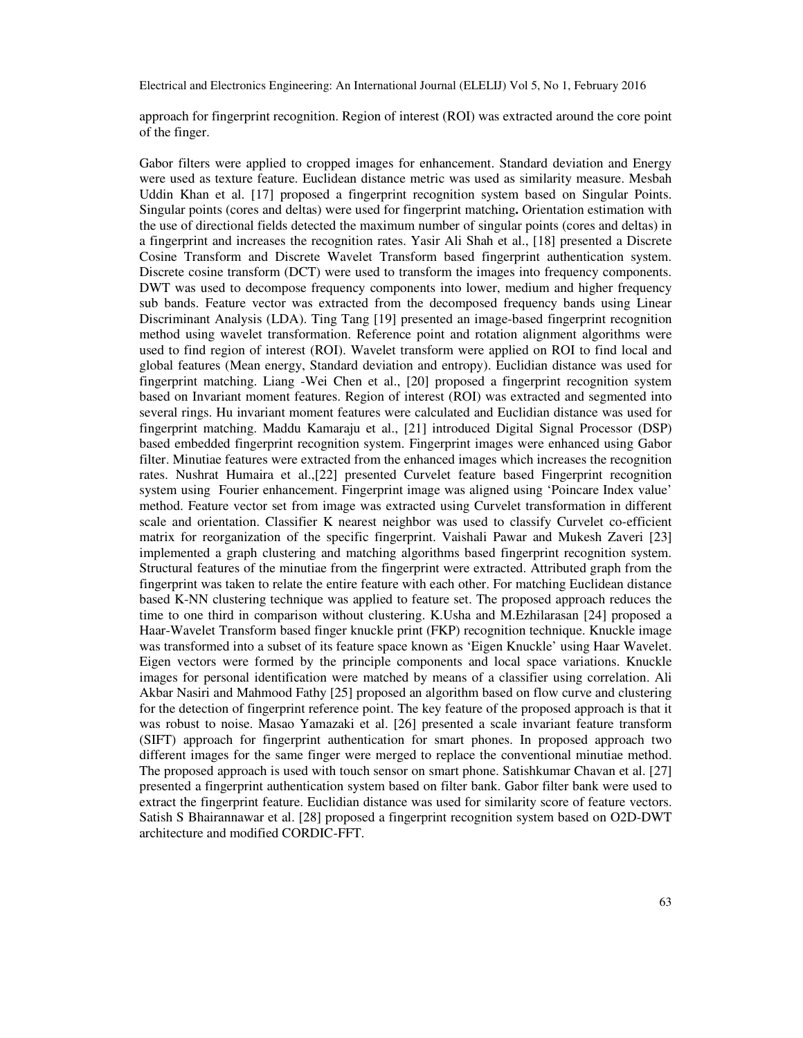approach for fingerprint recognition. Region of interest (ROI) was extracted around the core point of the finger.

Gabor filters were applied to cropped images for enhancement. Standard deviation and Energy were used as texture feature. Euclidean distance metric was used as similarity measure. Mesbah Uddin Khan et al. [17] proposed a fingerprint recognition system based on Singular Points. Singular points (cores and deltas) were used for fingerprint matching**.** Orientation estimation with the use of directional fields detected the maximum number of singular points (cores and deltas) in a fingerprint and increases the recognition rates. Yasir Ali Shah et al., [18] presented a Discrete Cosine Transform and Discrete Wavelet Transform based fingerprint authentication system. Discrete cosine transform (DCT) were used to transform the images into frequency components. DWT was used to decompose frequency components into lower, medium and higher frequency sub bands. Feature vector was extracted from the decomposed frequency bands using Linear Discriminant Analysis (LDA). Ting Tang [19] presented an image-based fingerprint recognition method using wavelet transformation. Reference point and rotation alignment algorithms were used to find region of interest (ROI). Wavelet transform were applied on ROI to find local and global features (Mean energy, Standard deviation and entropy). Euclidian distance was used for fingerprint matching. Liang -Wei Chen et al., [20] proposed a fingerprint recognition system based on Invariant moment features. Region of interest (ROI) was extracted and segmented into several rings. Hu invariant moment features were calculated and Euclidian distance was used for fingerprint matching. Maddu Kamaraju et al., [21] introduced Digital Signal Processor (DSP) based embedded fingerprint recognition system. Fingerprint images were enhanced using Gabor filter. Minutiae features were extracted from the enhanced images which increases the recognition rates. Nushrat Humaira et al.,[22] presented Curvelet feature based Fingerprint recognition system using Fourier enhancement. Fingerprint image was aligned using 'Poincare Index value' method. Feature vector set from image was extracted using Curvelet transformation in different scale and orientation. Classifier K nearest neighbor was used to classify Curvelet co-efficient matrix for reorganization of the specific fingerprint. Vaishali Pawar and Mukesh Zaveri [23] implemented a graph clustering and matching algorithms based fingerprint recognition system. Structural features of the minutiae from the fingerprint were extracted. Attributed graph from the fingerprint was taken to relate the entire feature with each other. For matching Euclidean distance based K-NN clustering technique was applied to feature set. The proposed approach reduces the time to one third in comparison without clustering. K.Usha and M.Ezhilarasan [24] proposed a Haar-Wavelet Transform based finger knuckle print (FKP) recognition technique. Knuckle image was transformed into a subset of its feature space known as 'Eigen Knuckle' using Haar Wavelet. Eigen vectors were formed by the principle components and local space variations. Knuckle images for personal identification were matched by means of a classifier using correlation. Ali Akbar Nasiri and Mahmood Fathy [25] proposed an algorithm based on flow curve and clustering for the detection of fingerprint reference point. The key feature of the proposed approach is that it was robust to noise. Masao Yamazaki et al. [26] presented a scale invariant feature transform (SIFT) approach for fingerprint authentication for smart phones. In proposed approach two different images for the same finger were merged to replace the conventional minutiae method. The proposed approach is used with touch sensor on smart phone. Satishkumar Chavan et al. [27] presented a fingerprint authentication system based on filter bank. Gabor filter bank were used to extract the fingerprint feature. Euclidian distance was used for similarity score of feature vectors. Satish S Bhairannawar et al. [28] proposed a fingerprint recognition system based on O2D-DWT architecture and modified CORDIC-FFT.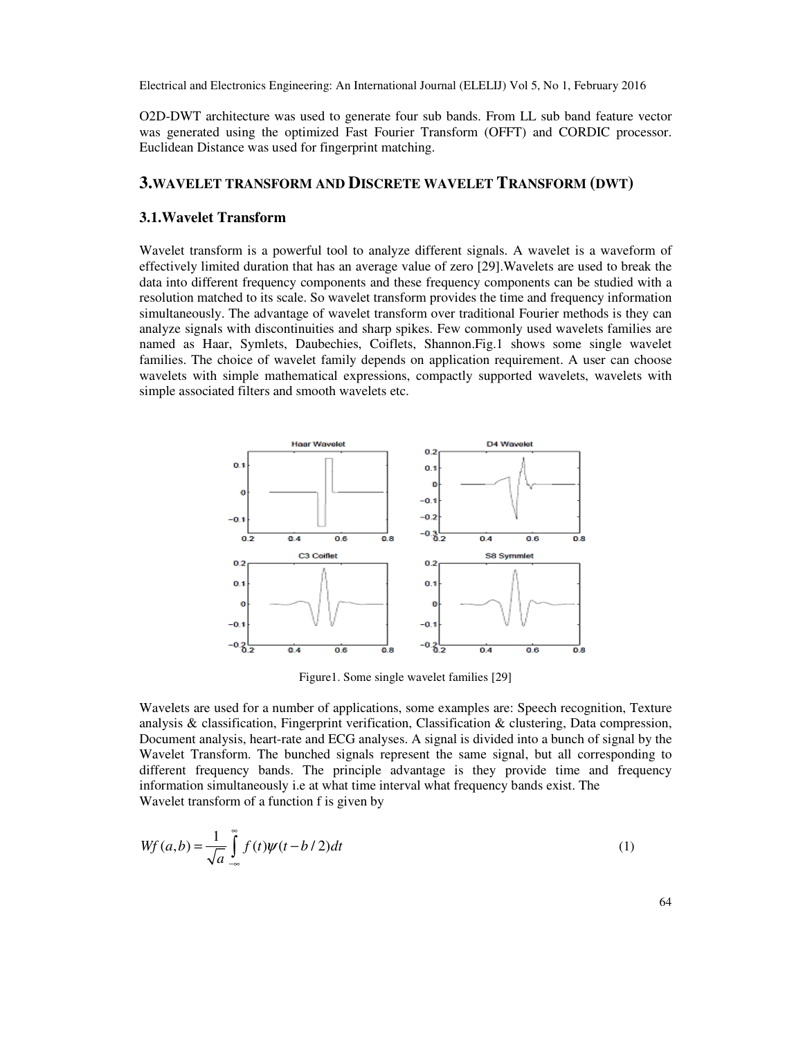O2D-DWT architecture was used to generate four sub bands. From LL sub band feature vector was generated using the optimized Fast Fourier Transform (OFFT) and CORDIC processor. Euclidean Distance was used for fingerprint matching.

# **3.WAVELET TRANSFORM AND DISCRETE WAVELET TRANSFORM (DWT)**

## **3.1.Wavelet Transform**

Wavelet transform is a powerful tool to analyze different signals. A wavelet is a waveform of effectively limited duration that has an average value of zero [29].Wavelets are used to break the data into different frequency components and these frequency components can be studied with a resolution matched to its scale. So wavelet transform provides the time and frequency information simultaneously. The advantage of wavelet transform over traditional Fourier methods is they can analyze signals with discontinuities and sharp spikes. Few commonly used wavelets families are named as Haar, Symlets, Daubechies, Coiflets, Shannon.Fig.1 shows some single wavelet families. The choice of wavelet family depends on application requirement. A user can choose wavelets with simple mathematical expressions, compactly supported wavelets, wavelets with simple associated filters and smooth wavelets etc.



Figure1. Some single wavelet families [29]

Wavelets are used for a number of applications, some examples are: Speech recognition, Texture analysis  $\&$  classification, Fingerprint verification, Classification  $\&$  clustering, Data compression, Document analysis, heart-rate and ECG analyses. A signal is divided into a bunch of signal by the Wavelet Transform. The bunched signals represent the same signal, but all corresponding to different frequency bands. The principle advantage is they provide time and frequency information simultaneously i.e at what time interval what frequency bands exist. The Wavelet transform of a function f is given by

$$
Wf(a,b) = \frac{1}{\sqrt{a}} \int_{-\infty}^{\infty} f(t)\psi(t-b/2)dt
$$
 (1)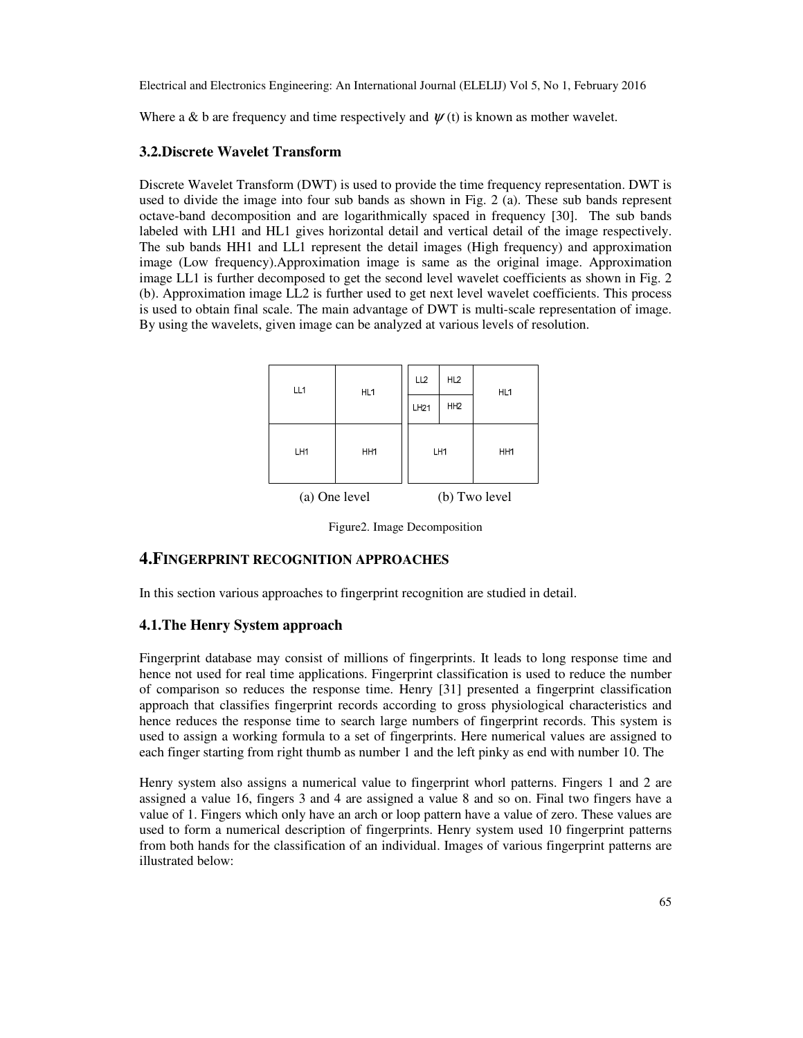Where a & b are frequency and time respectively and  $\psi(t)$  is known as mother wavelet.

## **3.2.Discrete Wavelet Transform**

Discrete Wavelet Transform (DWT) is used to provide the time frequency representation. DWT is used to divide the image into four sub bands as shown in Fig. 2 (a). These sub bands represent octave-band decomposition and are logarithmically spaced in frequency [30]. The sub bands labeled with LH1 and HL1 gives horizontal detail and vertical detail of the image respectively. The sub bands HH1 and LL1 represent the detail images (High frequency) and approximation image (Low frequency).Approximation image is same as the original image. Approximation image LL1 is further decomposed to get the second level wavelet coefficients as shown in Fig. 2 (b). Approximation image LL2 is further used to get next level wavelet coefficients. This process is used to obtain final scale. The main advantage of DWT is multi-scale representation of image. By using the wavelets, given image can be analyzed at various levels of resolution.

| LL <sub>1</sub> | HL1             | LL <sub>2</sub> | HL <sub>2</sub> | HL <sub>1</sub> |  |
|-----------------|-----------------|-----------------|-----------------|-----------------|--|
|                 |                 | LH21            | HH <sub>2</sub> |                 |  |
| LH1             | HH <sub>1</sub> |                 | LH1             | HH1             |  |
| (a) One level   |                 |                 | (b) Two level   |                 |  |

Figure2. Image Decomposition

# **4.FINGERPRINT RECOGNITION APPROACHES**

In this section various approaches to fingerprint recognition are studied in detail.

### **4.1.The Henry System approach**

Fingerprint database may consist of millions of fingerprints. It leads to long response time and hence not used for real time applications. Fingerprint classification is used to reduce the number of comparison so reduces the response time. Henry [31] presented a fingerprint classification approach that classifies fingerprint records according to gross physiological characteristics and hence reduces the response time to search large numbers of fingerprint records. This system is used to assign a working formula to a set of fingerprints. Here numerical values are assigned to each finger starting from right thumb as number 1 and the left pinky as end with number 10. The

Henry system also assigns a numerical value to fingerprint whorl patterns. Fingers 1 and 2 are assigned a value 16, fingers 3 and 4 are assigned a value 8 and so on. Final two fingers have a value of 1. Fingers which only have an arch or loop pattern have a value of zero. These values are used to form a numerical description of fingerprints. Henry system used 10 fingerprint patterns from both hands for the classification of an individual. Images of various fingerprint patterns are illustrated below: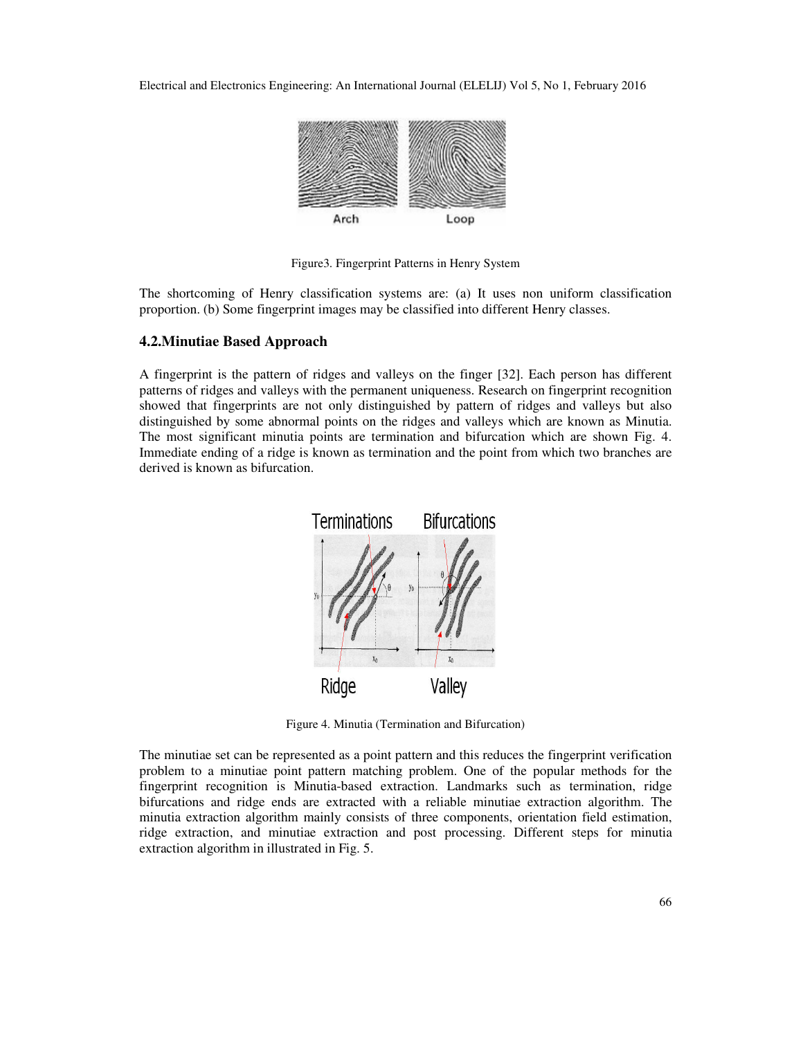

Figure3. Fingerprint Patterns in Henry System

The shortcoming of Henry classification systems are: (a) It uses non uniform classification proportion. (b) Some fingerprint images may be classified into different Henry classes.

### **4.2.Minutiae Based Approach**

A fingerprint is the pattern of ridges and valleys on the finger [32]. Each person has different patterns of ridges and valleys with the permanent uniqueness. Research on fingerprint recognition showed that fingerprints are not only distinguished by pattern of ridges and valleys but also distinguished by some abnormal points on the ridges and valleys which are known as Minutia. The most significant minutia points are termination and bifurcation which are shown Fig. 4. Immediate ending of a ridge is known as termination and the point from which two branches are derived is known as bifurcation.



Figure 4. Minutia (Termination and Bifurcation)

The minutiae set can be represented as a point pattern and this reduces the fingerprint verification problem to a minutiae point pattern matching problem. One of the popular methods for the fingerprint recognition is Minutia-based extraction. Landmarks such as termination, ridge bifurcations and ridge ends are extracted with a reliable minutiae extraction algorithm. The minutia extraction algorithm mainly consists of three components, orientation field estimation, ridge extraction, and minutiae extraction and post processing. Different steps for minutia extraction algorithm in illustrated in Fig. 5.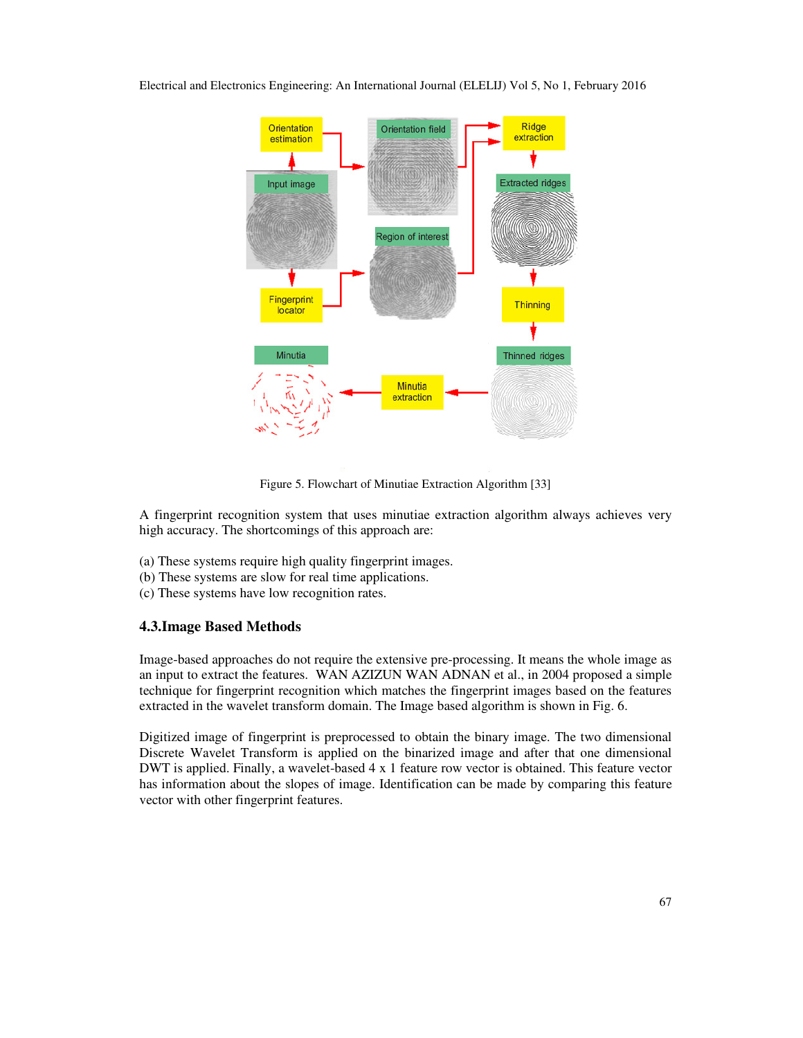



Figure 5. Flowchart of Minutiae Extraction Algorithm [33]

A fingerprint recognition system that uses minutiae extraction algorithm always achieves very high accuracy. The shortcomings of this approach are:

- (a) These systems require high quality fingerprint images.
- (b) These systems are slow for real time applications.
- (c) These systems have low recognition rates.

## **4.3.Image Based Methods**

Image-based approaches do not require the extensive pre-processing. It means the whole image as an input to extract the features. WAN AZIZUN WAN ADNAN et al., in 2004 proposed a simple technique for fingerprint recognition which matches the fingerprint images based on the features extracted in the wavelet transform domain. The Image based algorithm is shown in Fig. 6.

Digitized image of fingerprint is preprocessed to obtain the binary image. The two dimensional Discrete Wavelet Transform is applied on the binarized image and after that one dimensional DWT is applied. Finally, a wavelet-based 4 x 1 feature row vector is obtained. This feature vector has information about the slopes of image. Identification can be made by comparing this feature vector with other fingerprint features.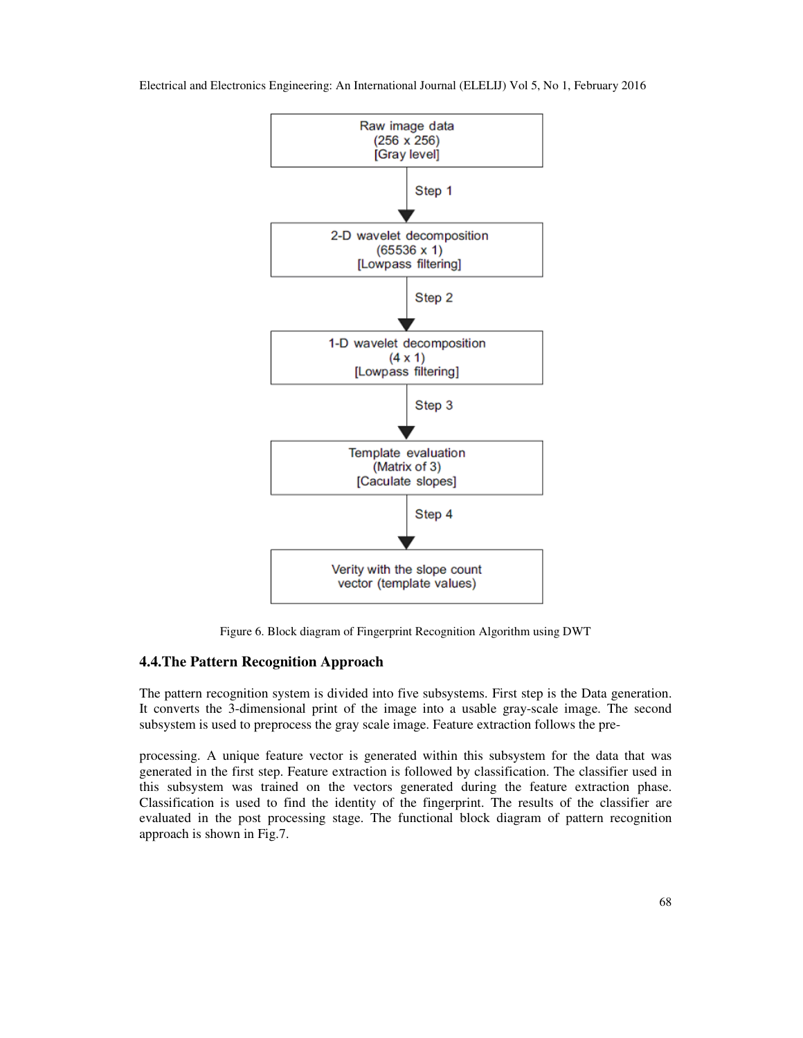

Figure 6. Block diagram of Fingerprint Recognition Algorithm using DWT

## **4.4.The Pattern Recognition Approach**

The pattern recognition system is divided into five subsystems. First step is the Data generation. It converts the 3-dimensional print of the image into a usable gray-scale image. The second subsystem is used to preprocess the gray scale image. Feature extraction follows the pre-

processing. A unique feature vector is generated within this subsystem for the data that was generated in the first step. Feature extraction is followed by classification. The classifier used in this subsystem was trained on the vectors generated during the feature extraction phase. Classification is used to find the identity of the fingerprint. The results of the classifier are evaluated in the post processing stage. The functional block diagram of pattern recognition approach is shown in Fig.7.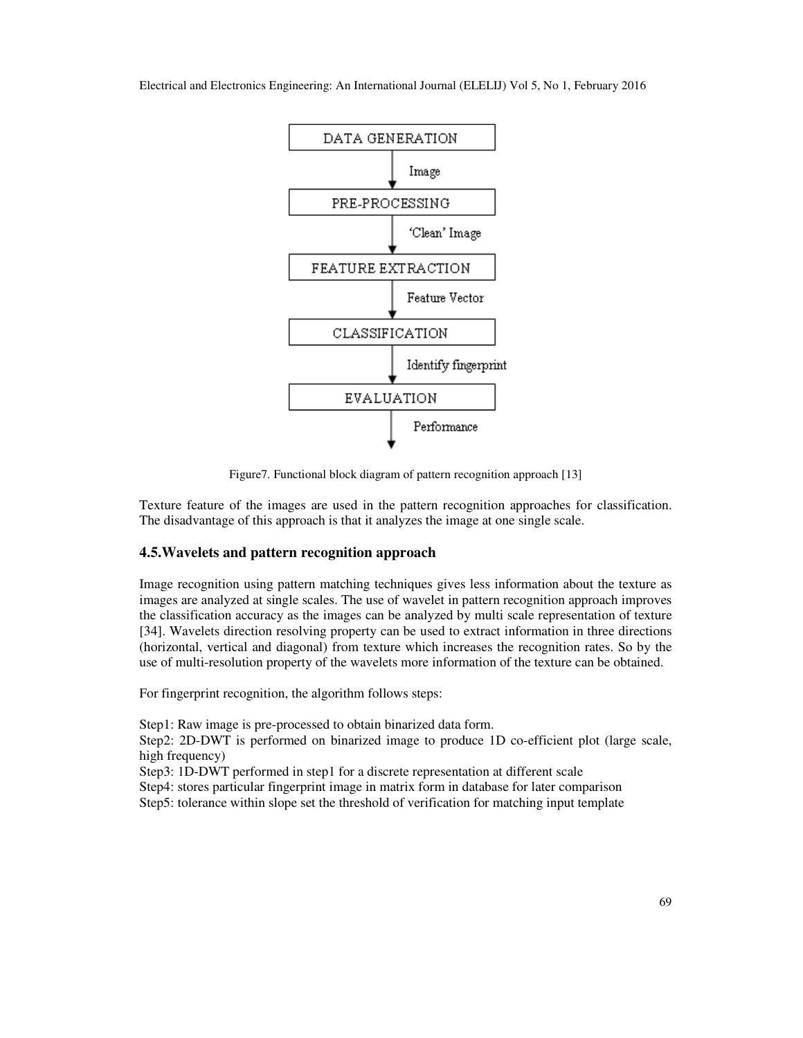

Figure7. Functional block diagram of pattern recognition approach [13]

Texture feature of the images are used in the pattern recognition approaches for classification. The disadvantage of this approach is that it analyzes the image at one single scale.

### **4.5.Wavelets and pattern recognition approach**

Image recognition using pattern matching techniques gives less information about the texture as images are analyzed at single scales. The use of wavelet in pattern recognition approach improves the classification accuracy as the images can be analyzed by multi scale representation of texture [34]. Wavelets direction resolving property can be used to extract information in three directions (horizontal, vertical and diagonal) from texture which increases the recognition rates. So by the use of multi-resolution property of the wavelets more information of the texture can be obtained.

For fingerprint recognition, the algorithm follows steps:

Step1: Raw image is pre-processed to obtain binarized data form.

Step2: 2D-DWT is performed on binarized image to produce 1D co-efficient plot (large scale, high frequency)

Step3: 1D-DWT performed in step1 for a discrete representation at different scale

Step4: stores particular fingerprint image in matrix form in database for later comparison Step5: tolerance within slope set the threshold of verification for matching input template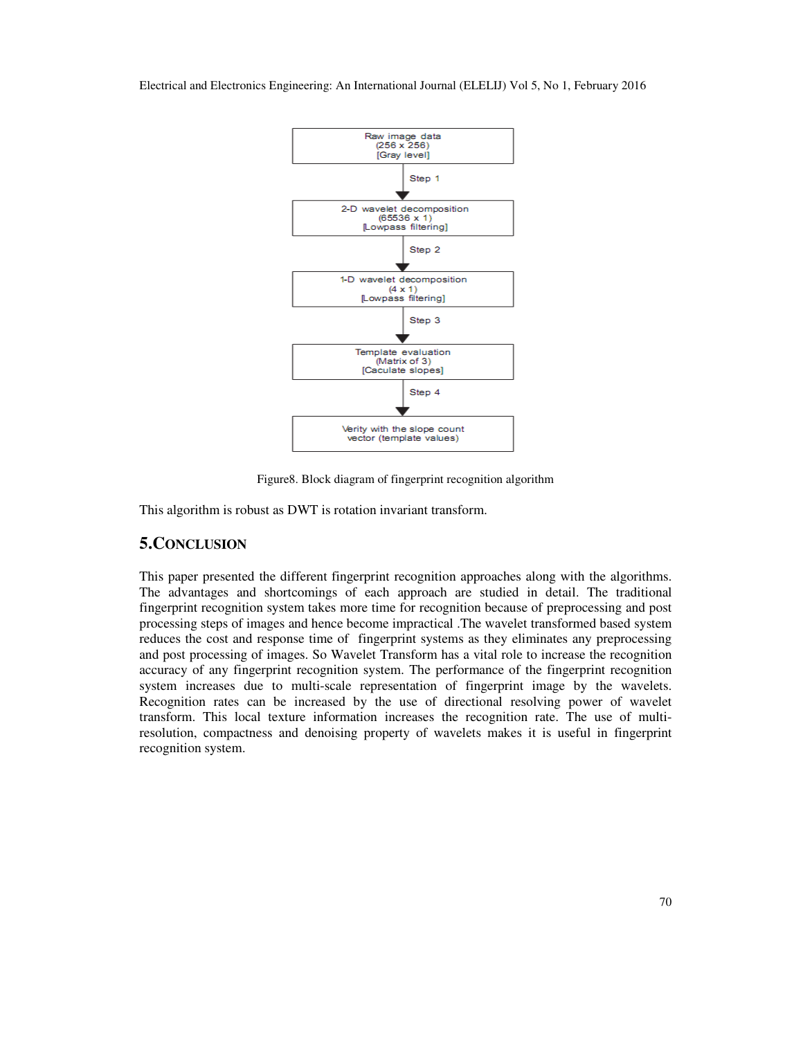

Figure8. Block diagram of fingerprint recognition algorithm

This algorithm is robust as DWT is rotation invariant transform.

# **5.CONCLUSION**

This paper presented the different fingerprint recognition approaches along with the algorithms. The advantages and shortcomings of each approach are studied in detail. The traditional fingerprint recognition system takes more time for recognition because of preprocessing and post processing steps of images and hence become impractical .The wavelet transformed based system reduces the cost and response time of fingerprint systems as they eliminates any preprocessing and post processing of images. So Wavelet Transform has a vital role to increase the recognition accuracy of any fingerprint recognition system. The performance of the fingerprint recognition system increases due to multi-scale representation of fingerprint image by the wavelets. Recognition rates can be increased by the use of directional resolving power of wavelet transform. This local texture information increases the recognition rate. The use of multiresolution, compactness and denoising property of wavelets makes it is useful in fingerprint recognition system.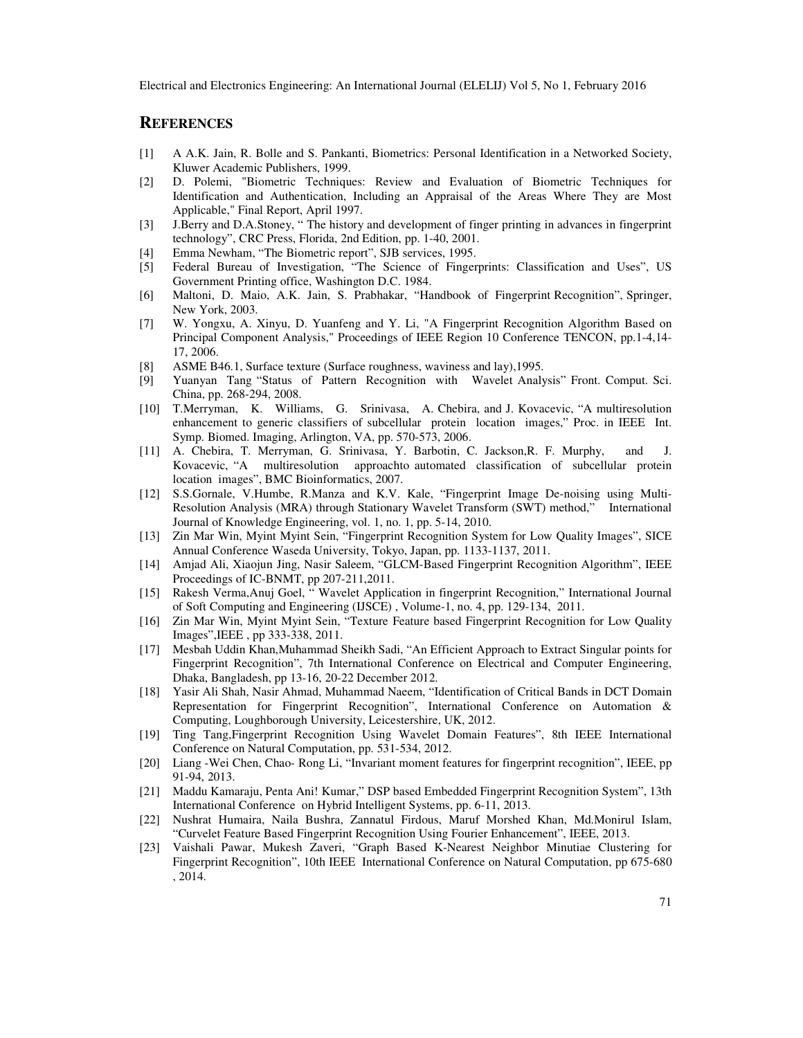## **REFERENCES**

- [1] A A.K. Jain, R. Bolle and S. Pankanti, Biometrics: Personal Identification in a Networked Society, Kluwer Academic Publishers, 1999.
- [2] D. Polemi, "Biometric Techniques: Review and Evaluation of Biometric Techniques for Identification and Authentication, Including an Appraisal of the Areas Where They are Most Applicable," Final Report, April 1997.
- [3] J.Berry and D.A.Stoney, " The history and development of finger printing in advances in fingerprint technology", CRC Press, Florida, 2nd Edition, pp. 1-40, 2001.
- [4] Emma Newham, "The Biometric report", SJB services, 1995.
- [5] Federal Bureau of Investigation, "The Science of Fingerprints: Classification and Uses", US Government Printing office, Washington D.C. 1984.
- [6] Maltoni, D. Maio, A.K. Jain, S. Prabhakar, "Handbook of Fingerprint Recognition", Springer, New York, 2003.
- [7] W. Yongxu, A. Xinyu, D. Yuanfeng and Y. Li, "A Fingerprint Recognition Algorithm Based on Principal Component Analysis," Proceedings of IEEE Region 10 Conference TENCON, pp.1-4,14- 17, 2006.
- [8] ASME B46.1, Surface texture (Surface roughness, waviness and lay),1995.
- [9] Yuanyan Tang "Status of Pattern Recognition with Wavelet Analysis" Front. Comput. Sci. China, pp. 268-294, 2008.
- [10] T.Merryman, K. Williams, G. Srinivasa, A. Chebira, and J. Kovacevic, "A multiresolution enhancement to generic classifiers of subcellular protein location images," Proc. in IEEE Int. Symp. Biomed. Imaging, Arlington, VA, pp. 570-573, 2006.
- [11] A. Chebira, T. Merryman, G. Srinivasa, Y. Barbotin, C. Jackson,R. F. Murphy, and J. Kovacevic, "A multiresolution approachto automated classification of subcellular protein location images", BMC Bioinformatics, 2007.
- [12] S.S.Gornale, V.Humbe, R.Manza and K.V. Kale, "Fingerprint Image De-noising using Multi-Resolution Analysis (MRA) through Stationary Wavelet Transform (SWT) method," International Journal of Knowledge Engineering, vol. 1, no. 1, pp. 5-14, 2010.
- [13] Zin Mar Win, Myint Myint Sein, "Fingerprint Recognition System for Low Quality Images", SICE Annual Conference Waseda University, Tokyo, Japan, pp. 1133-1137, 2011.
- [14] Amjad Ali, Xiaojun Jing, Nasir Saleem, "GLCM-Based Fingerprint Recognition Algorithm", IEEE Proceedings of IC-BNMT, pp 207-211,2011.
- [15] Rakesh Verma,Anuj Goel, " Wavelet Application in fingerprint Recognition," International Journal of Soft Computing and Engineering (IJSCE) , Volume-1, no. 4, pp. 129-134, 2011.
- [16] Zin Mar Win, Myint Myint Sein, "Texture Feature based Fingerprint Recognition for Low Quality Images",IEEE , pp 333-338, 2011.
- [17] Mesbah Uddin Khan,Muhammad Sheikh Sadi, "An Efficient Approach to Extract Singular points for Fingerprint Recognition", 7th International Conference on Electrical and Computer Engineering, Dhaka, Bangladesh, pp 13-16, 20-22 December 2012.
- [18] Yasir Ali Shah, Nasir Ahmad, Muhammad Naeem, "Identification of Critical Bands in DCT Domain Representation for Fingerprint Recognition", International Conference on Automation & Computing, Loughborough University, Leicestershire, UK, 2012.
- [19] Ting Tang,Fingerprint Recognition Using Wavelet Domain Features", 8th IEEE International Conference on Natural Computation, pp. 531-534, 2012.
- [20] Liang -Wei Chen, Chao- Rong Li, "Invariant moment features for fingerprint recognition", IEEE, pp 91-94, 2013.
- [21] Maddu Kamaraju, Penta Ani! Kumar," DSP based Embedded Fingerprint Recognition System", 13th International Conference on Hybrid Intelligent Systems, pp. 6-11, 2013.
- [22] Nushrat Humaira, Naila Bushra, Zannatul Firdous, Maruf Morshed Khan, Md.Monirul Islam, "Curvelet Feature Based Fingerprint Recognition Using Fourier Enhancement", IEEE, 2013.
- [23] Vaishali Pawar, Mukesh Zaveri, "Graph Based K-Nearest Neighbor Minutiae Clustering for Fingerprint Recognition", 10th IEEE International Conference on Natural Computation, pp 675-680 , 2014.